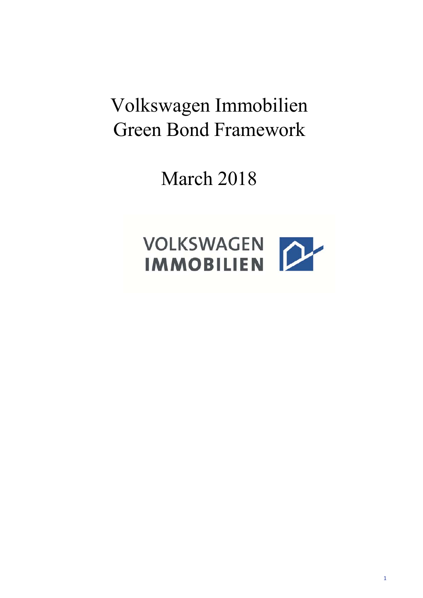# Volkswagen Immobilien Green Bond Framework

March 2018

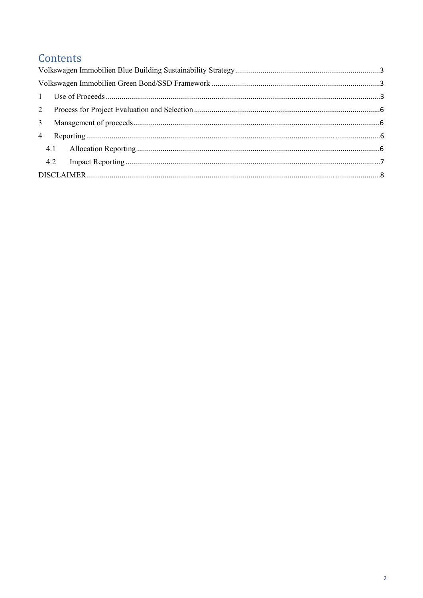## Contents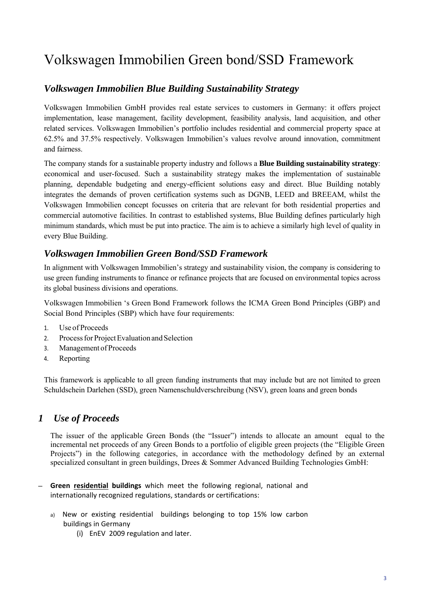## Volkswagen Immobilien Green bond/SSD Framework

## *Volkswagen Immobilien Blue Building Sustainability Strategy*

Volkswagen Immobilien GmbH provides real estate services to customers in Germany: it offers project implementation, lease management, facility development, feasibility analysis, land acquisition, and other related services. Volkswagen Immobilien's portfolio includes residential and commercial property space at 62.5% and 37.5% respectively. Volkswagen Immobilien's values revolve around innovation, commitment and fairness.

The company stands for a sustainable property industry and follows a **Blue Building sustainability strategy**: economical and user-focused. Such a sustainability strategy makes the implementation of sustainable planning, dependable budgeting and energy-efficient solutions easy and direct. Blue Building notably integrates the demands of proven certification systems such as DGNB, LEED and BREEAM, whilst the Volkswagen Immobilien concept focusses on criteria that are relevant for both residential properties and commercial automotive facilities. In contrast to established systems, Blue Building defines particularly high minimum standards, which must be put into practice. The aim is to achieve a similarly high level of quality in every Blue Building.

## *Volkswagen Immobilien Green Bond/SSD Framework*

In alignment with Volkswagen Immobilien's strategy and sustainability vision, the company is considering to use green funding instruments to finance or refinance projects that are focused on environmental topics across its global business divisions and operations.

Volkswagen Immobilien 's Green Bond Framework follows the ICMA Green Bond Principles (GBP) and Social Bond Principles (SBP) which have four requirements:

- 1. Use of Proceeds
- 2. Process for Project Evaluation and Selection
- 3. Management of Proceeds
- 4. Reporting

This framework is applicable to all green funding instruments that may include but are not limited to green Schuldschein Darlehen (SSD), green Namenschuldverschreibung (NSV), green loans and green bonds

## *1 Use of Proceeds*

The issuer of the applicable Green Bonds (the "Issuer") intends to allocate an amount equal to the incremental net proceeds of any Green Bonds to a portfolio of eligible green projects (the "Eligible Green Projects") in the following categories, in accordance with the methodology defined by an external specialized consultant in green buildings, Drees & Sommer Advanced Building Technologies GmbH:

- ─ **Green residential buildings** which meet the following regional, national and internationally recognized regulations, standards or certifications:
	- a) New or existing residential buildings belonging to top 15% low carbon buildings in Germany
		- (i) EnEV 2009 regulation and later.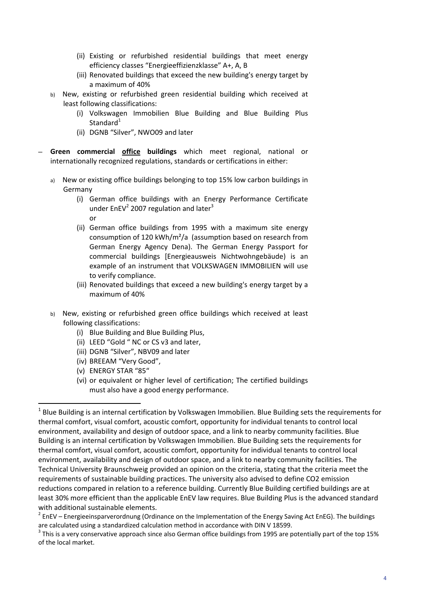- (ii) Existing or refurbished residential buildings that meet energy efficiency classes "Energieeffizienzklasse" A+, A, B
- (iii) Renovated buildings that exceed the new building's energy target by a maximum of 40%
- b) New, existing or refurbished green residential building which received at least following classifications:
	- (i) Volkswagen Immobilien Blue Building and Blue Building Plus Standard $1$
	- (ii) DGNB "Silver", NWO09 and later
- ─ **Green commercial office buildings** which meet regional, national or internationally recognized regulations, standards or certifications in either:
	- a) New or existing office buildings belonging to top 15% low carbon buildings in Germany
		- (i) German office buildings with an Energy Performance Certificate under  $EnEV<sup>2</sup>$  2007 regulation and later<sup>3</sup> or
		- (ii) German office buildings from 1995 with a maximum site energy consumption of 120 kWh/m²/a (assumption based on research from German Energy Agency Dena). The German Energy Passport for commercial buildings [Energieausweis Nichtwohngebäude) is an example of an instrument that VOLKSWAGEN IMMOBILIEN will use to verify compliance.
		- (iii) Renovated buildings that exceed a new building's energy target by a maximum of 40%
	- b) New, existing or refurbished green office buildings which received at least following classifications:
		- (i) Blue Building and Blue Building Plus,
		- (ii) LEED "Gold " NC or CS v3 and later,
		- (iii) DGNB "Silver", NBV09 and later
		- (iv) BREEAM "Very Good",
		- (v) ENERGY STAR "85"

(vi) or equivalent or higher level of certification; The certified buildings must also have a good energy performance.

<sup>&</sup>lt;sup>1</sup> Blue Building is an internal certification by Volkswagen Immobilien. Blue Building sets the requirements for thermal comfort, visual comfort, acoustic comfort, opportunity for individual tenants to control local environment, availability and design of outdoor space, and a link to nearby community facilities. Blue Building is an internal certification by Volkswagen Immobilien. Blue Building sets the requirements for thermal comfort, visual comfort, acoustic comfort, opportunity for individual tenants to control local environment, availability and design of outdoor space, and a link to nearby community facilities. The Technical University Braunschweig provided an opinion on the criteria, stating that the criteria meet the requirements of sustainable building practices. The university also advised to define CO2 emission reductions compared in relation to a reference building. Currently Blue Building certified buildings are at least 30% more efficient than the applicable EnEV law requires. Blue Building Plus is the advanced standard with additional sustainable elements.<br><sup>2</sup> EnEV – Energieeinsparverordnung (Ordinance on the Implementation of the Energy Saving Act EnEG). The buildings

are calculated using a standardized calculation method in accordance with DIN V 18599.<br><sup>3</sup> This is a very conservative approach since also German office buildings from 1995 are potentially part of the top 15%

of the local market.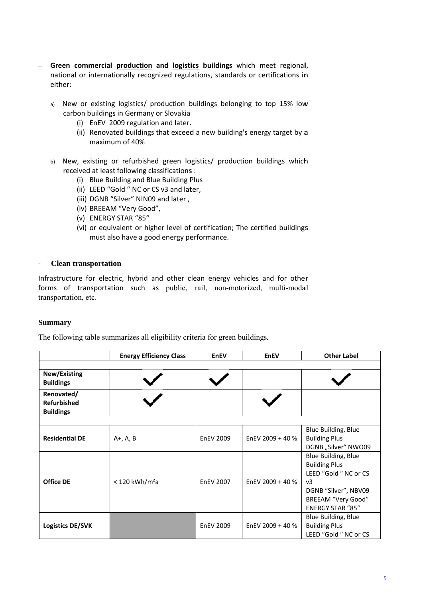- Green commercial production and logistics buildings which meet regional,  $\equiv$ national or internationally recognized regulations, standards or certifications in either:
	- a) New or existing logistics/ production buildings belonging to top 15% low carbon buildings in Germany or Slovakia
		- (i) EnEV 2009 regulation and later.
		- (ii) Renovated buildings that exceed a new building's energy target by a maximum of 40%
	- b) New, existing or refurbished green logistics/ production buildings which received at least following classifications :
		- (i) Blue Building and Blue Building Plus
		- (ii) LEED "Gold " NC or CS v3 and later,
		- (iii) DGNB "Silver" NIN09 and later,
		- (iv) BREEAM "Very Good",
		- (v) ENERGY STAR "85"
		- (vi) or equivalent or higher level of certification; The certified buildings must also have a good energy performance.

#### **Clean transportation**  $\overline{a}$

Infrastructure for electric, hybrid and other clean energy vehicles and for other forms of transportation such as public, rail, non-motorized, multi-modal transportation, etc.

#### **Summary**

The following table summarizes all eligibility criteria for green buildings.

|                                                      | <b>Energy Efficiency Class</b> | <b>EnEV</b>      | <b>EnEV</b>      | <b>Other Label</b>                                                                                                                                              |
|------------------------------------------------------|--------------------------------|------------------|------------------|-----------------------------------------------------------------------------------------------------------------------------------------------------------------|
| New/Existing<br><b>Buildings</b>                     |                                |                  |                  |                                                                                                                                                                 |
| Renovated/<br><b>Refurbished</b><br><b>Buildings</b> |                                |                  |                  |                                                                                                                                                                 |
|                                                      |                                |                  |                  |                                                                                                                                                                 |
| <b>Residential DE</b>                                | $A+$ , A, B                    | <b>EnEV 2009</b> | EnEV 2009 + 40 % | Blue Building, Blue<br><b>Building Plus</b><br>DGNB "Silver" NWO09                                                                                              |
| <b>Office DE</b>                                     | $<$ 120 kWh/m <sup>2</sup> a   | <b>EnEV 2007</b> | EnEV 2009 + 40 % | Blue Building, Blue<br><b>Building Plus</b><br>LEED "Gold " NC or CS<br>v <sub>3</sub><br>DGNB "Silver", NBV09<br>BREEAM "Very Good"<br><b>ENERGY STAR "85"</b> |
| Logistics DE/SVK                                     |                                | <b>EnEV 2009</b> | EnEV 2009 + 40 % | Blue Building, Blue<br><b>Building Plus</b><br>LEED "Gold " NC or CS                                                                                            |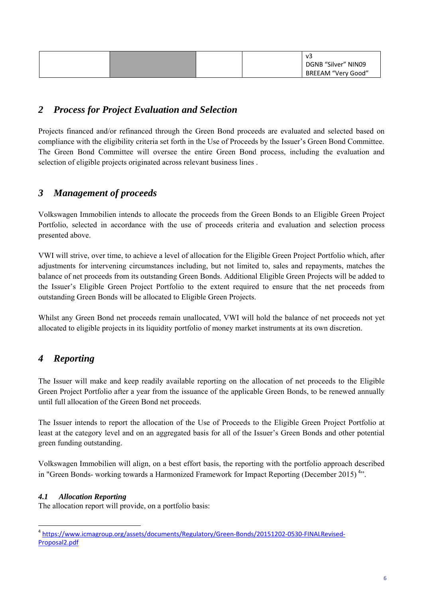|  |  | V3                                        |
|--|--|-------------------------------------------|
|  |  | DGNB "Silver" NIN09<br>BREEAM "Very Good" |

### *2 Process for Project Evaluation and Selection*

Projects financed and/or refinanced through the Green Bond proceeds are evaluated and selected based on compliance with the eligibility criteria set forth in the Use of Proceeds by the Issuer's Green Bond Committee. The Green Bond Committee will oversee the entire Green Bond process, including the evaluation and selection of eligible projects originated across relevant business lines .

## *3 Management of proceeds*

Volkswagen Immobilien intends to allocate the proceeds from the Green Bonds to an Eligible Green Project Portfolio, selected in accordance with the use of proceeds criteria and evaluation and selection process presented above.

VWI will strive, over time, to achieve a level of allocation for the Eligible Green Project Portfolio which, after adjustments for intervening circumstances including, but not limited to, sales and repayments, matches the balance of net proceeds from its outstanding Green Bonds. Additional Eligible Green Projects will be added to the Issuer's Eligible Green Project Portfolio to the extent required to ensure that the net proceeds from outstanding Green Bonds will be allocated to Eligible Green Projects.

Whilst any Green Bond net proceeds remain unallocated, VWI will hold the balance of net proceeds not yet allocated to eligible projects in its liquidity portfolio of money market instruments at its own discretion.

## *4 Reporting*

The Issuer will make and keep readily available reporting on the allocation of net proceeds to the Eligible Green Project Portfolio after a year from the issuance of the applicable Green Bonds, to be renewed annually until full allocation of the Green Bond net proceeds.

The Issuer intends to report the allocation of the Use of Proceeds to the Eligible Green Project Portfolio at least at the category level and on an aggregated basis for all of the Issuer's Green Bonds and other potential green funding outstanding.

Volkswagen Immobilien will align, on a best effort basis, the reporting with the portfolio approach described in "Green Bonds- working towards a Harmonized Framework for Impact Reporting (December 2015)<sup>4</sup>".

#### *4.1 Allocation Reporting*

The allocation report will provide, on a portfolio basis:

<sup>&</sup>lt;sup>4</sup> https://www.icmagroup.org/assets/documents/Regulatory/Green-Bonds/20151202-0530-FINALRevised-Proposal2.pdf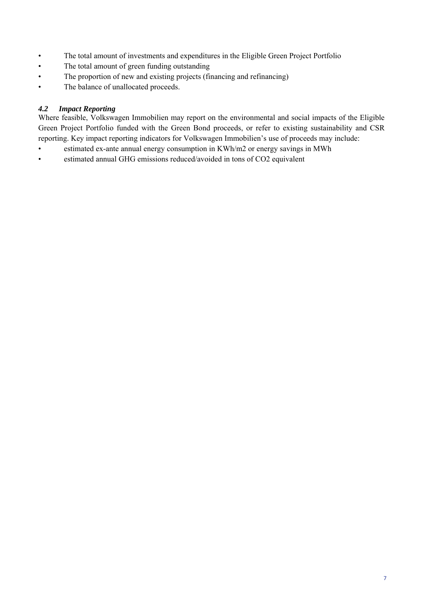- The total amount of investments and expenditures in the Eligible Green Project Portfolio
- The total amount of green funding outstanding
- The proportion of new and existing projects (financing and refinancing)
- The balance of unallocated proceeds.

#### *4.2 Impact Reporting*

Where feasible, Volkswagen Immobilien may report on the environmental and social impacts of the Eligible Green Project Portfolio funded with the Green Bond proceeds, or refer to existing sustainability and CSR reporting. Key impact reporting indicators for Volkswagen Immobilien's use of proceeds may include:

- estimated ex-ante annual energy consumption in KWh/m2 or energy savings in MWh
- estimated annual GHG emissions reduced/avoided in tons of CO2 equivalent